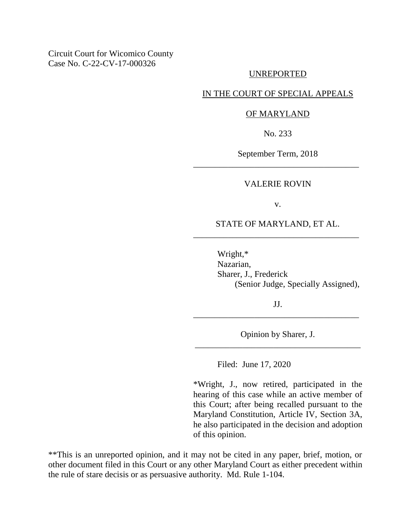# UNREPORTED

## IN THE COURT OF SPECIAL APPEALS

### OF MARYLAND

No. 233

September Term, 2018 \_\_\_\_\_\_\_\_\_\_\_\_\_\_\_\_\_\_\_\_\_\_\_\_\_\_\_\_\_\_\_\_\_\_\_\_\_\_

#### VALERIE ROVIN

v.

# STATE OF MARYLAND, ET AL. \_\_\_\_\_\_\_\_\_\_\_\_\_\_\_\_\_\_\_\_\_\_\_\_\_\_\_\_\_\_\_\_\_\_\_\_\_\_

Wright,\* Nazarian, Sharer, J., Frederick (Senior Judge, Specially Assigned),

JJ. \_\_\_\_\_\_\_\_\_\_\_\_\_\_\_\_\_\_\_\_\_\_\_\_\_\_\_\_\_\_\_\_\_\_\_\_\_\_

Opinion by Sharer, J. \_\_\_\_\_\_\_\_\_\_\_\_\_\_\_\_\_\_\_\_\_\_\_\_\_\_\_\_\_\_\_\_\_\_\_\_\_\_

Filed: June 17, 2020

\*Wright, J., now retired, participated in the hearing of this case while an active member of this Court; after being recalled pursuant to the Maryland Constitution, Article IV, Section 3A, he also participated in the decision and adoption of this opinion.

\*\*This is an unreported opinion, and it may not be cited in any paper, brief, motion, or other document filed in this Court or any other Maryland Court as either precedent within the rule of stare decisis or as persuasive authority. Md. Rule 1-104.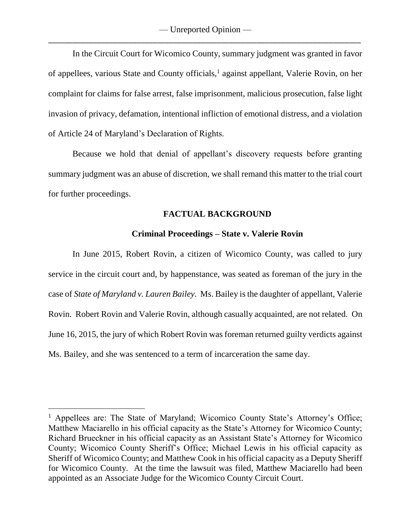— Unreported Opinion — \_\_\_\_\_\_\_\_\_\_\_\_\_\_\_\_\_\_\_\_\_\_\_\_\_\_\_\_\_\_\_\_\_\_\_\_\_\_\_\_\_\_\_\_\_\_\_\_\_\_\_\_\_\_\_\_\_\_\_\_\_\_\_\_\_\_\_\_\_\_\_\_\_\_\_\_\_\_

In the Circuit Court for Wicomico County, summary judgment was granted in favor of appellees, various State and County officials,<sup>1</sup> against appellant, Valerie Rovin, on her complaint for claims for false arrest, false imprisonment, malicious prosecution, false light invasion of privacy, defamation, intentional infliction of emotional distress, and a violation of Article 24 of Maryland's Declaration of Rights.

Because we hold that denial of appellant's discovery requests before granting summary judgment was an abuse of discretion, we shall remand this matter to the trial court for further proceedings.

## **FACTUAL BACKGROUND**

## **Criminal Proceedings – State v. Valerie Rovin**

In June 2015, Robert Rovin, a citizen of Wicomico County, was called to jury service in the circuit court and, by happenstance, was seated as foreman of the jury in the case of *State of Maryland v. Lauren Bailey*. Ms. Bailey is the daughter of appellant, Valerie Rovin. Robert Rovin and Valerie Rovin, although casually acquainted, are not related. On June 16, 2015, the jury of which Robert Rovin was foreman returned guilty verdicts against Ms. Bailey, and she was sentenced to a term of incarceration the same day.

<sup>&</sup>lt;sup>1</sup> Appellees are: The State of Maryland; Wicomico County State's Attorney's Office; Matthew Maciarello in his official capacity as the State's Attorney for Wicomico County; Richard Brueckner in his official capacity as an Assistant State's Attorney for Wicomico County; Wicomico County Sheriff's Office; Michael Lewis in his official capacity as Sheriff of Wicomico County; and Matthew Cook in his official capacity as a Deputy Sheriff for Wicomico County. At the time the lawsuit was filed, Matthew Maciarello had been appointed as an Associate Judge for the Wicomico County Circuit Court.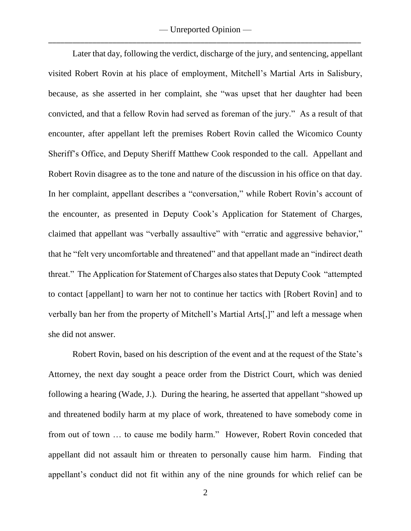— Unreported Opinion — \_\_\_\_\_\_\_\_\_\_\_\_\_\_\_\_\_\_\_\_\_\_\_\_\_\_\_\_\_\_\_\_\_\_\_\_\_\_\_\_\_\_\_\_\_\_\_\_\_\_\_\_\_\_\_\_\_\_\_\_\_\_\_\_\_\_\_\_\_\_\_\_\_\_\_\_\_\_

Later that day, following the verdict, discharge of the jury, and sentencing, appellant visited Robert Rovin at his place of employment, Mitchell's Martial Arts in Salisbury, because, as she asserted in her complaint, she "was upset that her daughter had been convicted, and that a fellow Rovin had served as foreman of the jury." As a result of that encounter, after appellant left the premises Robert Rovin called the Wicomico County Sheriff's Office, and Deputy Sheriff Matthew Cook responded to the call. Appellant and Robert Rovin disagree as to the tone and nature of the discussion in his office on that day. In her complaint, appellant describes a "conversation," while Robert Rovin's account of the encounter, as presented in Deputy Cook's Application for Statement of Charges, claimed that appellant was "verbally assaultive" with "erratic and aggressive behavior," that he "felt very uncomfortable and threatened" and that appellant made an "indirect death threat." The Application for Statement of Charges also states that Deputy Cook "attempted to contact [appellant] to warn her not to continue her tactics with [Robert Rovin] and to verbally ban her from the property of Mitchell's Martial Arts[,]" and left a message when she did not answer.

Robert Rovin, based on his description of the event and at the request of the State's Attorney, the next day sought a peace order from the District Court, which was denied following a hearing (Wade, J.). During the hearing, he asserted that appellant "showed up and threatened bodily harm at my place of work, threatened to have somebody come in from out of town … to cause me bodily harm." However, Robert Rovin conceded that appellant did not assault him or threaten to personally cause him harm. Finding that appellant's conduct did not fit within any of the nine grounds for which relief can be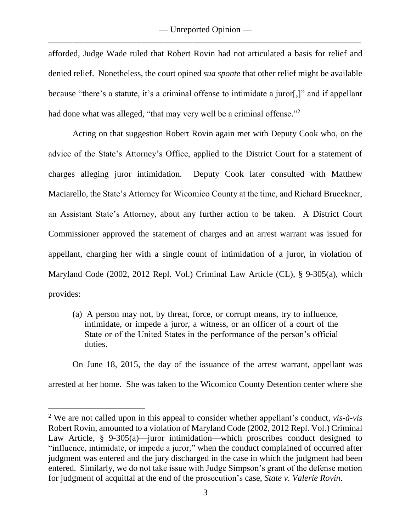afforded, Judge Wade ruled that Robert Rovin had not articulated a basis for relief and denied relief. Nonetheless, the court opined *sua sponte* that other relief might be available because "there's a statute, it's a criminal offense to intimidate a juror[,]" and if appellant had done what was alleged, "that may very well be a criminal offense."<sup>2</sup>

Acting on that suggestion Robert Rovin again met with Deputy Cook who, on the advice of the State's Attorney's Office, applied to the District Court for a statement of charges alleging juror intimidation. Deputy Cook later consulted with Matthew Maciarello, the State's Attorney for Wicomico County at the time, and Richard Brueckner, an Assistant State's Attorney, about any further action to be taken. A District Court Commissioner approved the statement of charges and an arrest warrant was issued for appellant, charging her with a single count of intimidation of a juror, in violation of Maryland Code (2002, 2012 Repl. Vol.) Criminal Law Article (CL), § 9-305(a), which provides:

(a) A person may not, by threat, force, or corrupt means, try to influence, intimidate, or impede a juror, a witness, or an officer of a court of the State or of the United States in the performance of the person's official duties.

On June 18, 2015, the day of the issuance of the arrest warrant, appellant was arrested at her home. She was taken to the Wicomico County Detention center where she

<sup>2</sup> We are not called upon in this appeal to consider whether appellant's conduct, *vis-à-vis* Robert Rovin, amounted to a violation of Maryland Code (2002, 2012 Repl. Vol.) Criminal Law Article, § 9-305(a)—juror intimidation—which proscribes conduct designed to "influence, intimidate, or impede a juror," when the conduct complained of occurred after judgment was entered and the jury discharged in the case in which the judgment had been entered. Similarly, we do not take issue with Judge Simpson's grant of the defense motion for judgment of acquittal at the end of the prosecution's case, *State v. Valerie Rovin*.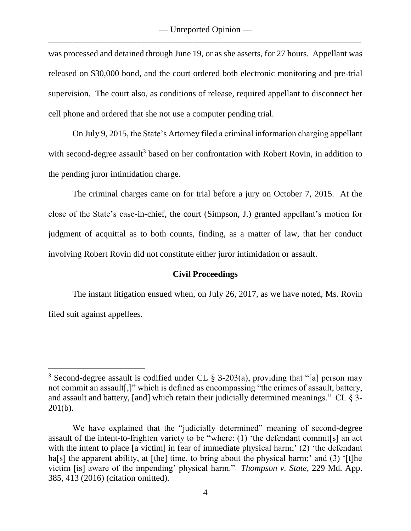was processed and detained through June 19, or as she asserts, for 27 hours. Appellant was released on \$30,000 bond, and the court ordered both electronic monitoring and pre-trial supervision. The court also, as conditions of release, required appellant to disconnect her cell phone and ordered that she not use a computer pending trial.

On July 9, 2015, the State's Attorney filed a criminal information charging appellant with second-degree assault<sup>3</sup> based on her confrontation with Robert Rovin, in addition to the pending juror intimidation charge.

The criminal charges came on for trial before a jury on October 7, 2015. At the close of the State's case-in-chief, the court (Simpson, J.) granted appellant's motion for judgment of acquittal as to both counts, finding, as a matter of law, that her conduct involving Robert Rovin did not constitute either juror intimidation or assault.

# **Civil Proceedings**

The instant litigation ensued when, on July 26, 2017, as we have noted, Ms. Rovin filed suit against appellees.

<sup>&</sup>lt;sup>3</sup> Second-degree assault is codified under CL  $\S$  3-203(a), providing that "[a] person may not commit an assault[,]" which is defined as encompassing "the crimes of assault, battery, and assault and battery, [and] which retain their judicially determined meanings." CL  $\S$  3-201(b).

We have explained that the "judicially determined" meaning of second-degree assault of the intent-to-frighten variety to be "where: (1) 'the defendant commit[s] an act with the intent to place [a victim] in fear of immediate physical harm;' (2) 'the defendant ha[s] the apparent ability, at [the] time, to bring about the physical harm;' and (3) '[t]he victim [is] aware of the impending' physical harm." *Thompson v. State*, 229 Md. App. 385, 413 (2016) (citation omitted).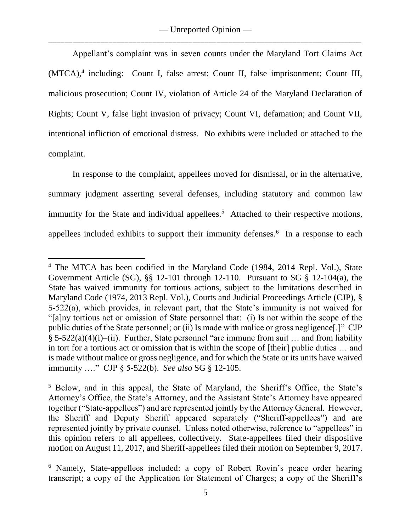Appellant's complaint was in seven counts under the Maryland Tort Claims Act (MTCA),<sup>4</sup> including: Count I, false arrest; Count II, false imprisonment; Count III, malicious prosecution; Count IV, violation of Article 24 of the Maryland Declaration of Rights; Count V, false light invasion of privacy; Count VI, defamation; and Count VII, intentional infliction of emotional distress. No exhibits were included or attached to the complaint.

In response to the complaint, appellees moved for dismissal, or in the alternative, summary judgment asserting several defenses, including statutory and common law immunity for the State and individual appellees.<sup>5</sup> Attached to their respective motions, appellees included exhibits to support their immunity defenses. 6 In a response to each

<sup>&</sup>lt;sup>4</sup> The MTCA has been codified in the Maryland Code (1984, 2014 Repl. Vol.), State Government Article (SG),  $\S$ § 12-101 through 12-110. Pursuant to SG § 12-104(a), the State has waived immunity for tortious actions, subject to the limitations described in Maryland Code (1974, 2013 Repl. Vol.), Courts and Judicial Proceedings Article (CJP), § 5-522(a), which provides, in relevant part, that the State's immunity is not waived for "[a]ny tortious act or omission of State personnel that: (i) Is not within the scope of the public duties of the State personnel; or (ii) Is made with malice or gross negligence[.]" CJP § 5-522(a)(4)(i)–(ii). Further, State personnel "are immune from suit … and from liability in tort for a tortious act or omission that is within the scope of [their] public duties … and is made without malice or gross negligence, and for which the State or its units have waived immunity …." CJP § 5-522(b). *See also* SG § 12-105.

<sup>5</sup> Below, and in this appeal, the State of Maryland, the Sheriff's Office, the State's Attorney's Office, the State's Attorney, and the Assistant State's Attorney have appeared together ("State-appellees") and are represented jointly by the Attorney General. However, the Sheriff and Deputy Sheriff appeared separately ("Sheriff-appellees") and are represented jointly by private counsel. Unless noted otherwise, reference to "appellees" in this opinion refers to all appellees, collectively. State-appellees filed their dispositive motion on August 11, 2017, and Sheriff-appellees filed their motion on September 9, 2017.

<sup>6</sup> Namely, State-appellees included: a copy of Robert Rovin's peace order hearing transcript; a copy of the Application for Statement of Charges; a copy of the Sheriff's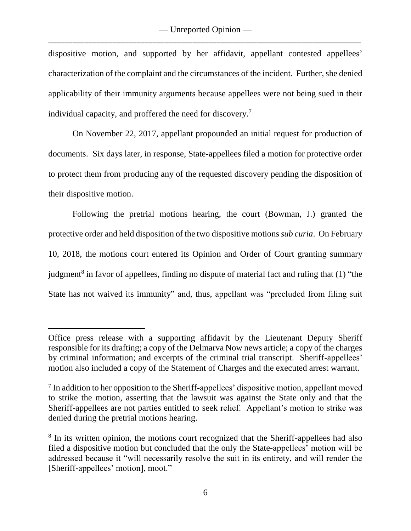dispositive motion, and supported by her affidavit, appellant contested appellees' characterization of the complaint and the circumstances of the incident. Further, she denied applicability of their immunity arguments because appellees were not being sued in their individual capacity, and proffered the need for discovery.<sup>7</sup>

On November 22, 2017, appellant propounded an initial request for production of documents. Six days later, in response, State-appellees filed a motion for protective order to protect them from producing any of the requested discovery pending the disposition of their dispositive motion.

Following the pretrial motions hearing, the court (Bowman, J.) granted the protective order and held disposition of the two dispositive motions *sub curia*. On February 10, 2018, the motions court entered its Opinion and Order of Court granting summary judgment<sup>8</sup> in favor of appellees, finding no dispute of material fact and ruling that  $(1)$  "the State has not waived its immunity" and, thus, appellant was "precluded from filing suit

Office press release with a supporting affidavit by the Lieutenant Deputy Sheriff responsible for its drafting; a copy of the Delmarva Now news article; a copy of the charges by criminal information; and excerpts of the criminal trial transcript. Sheriff-appellees' motion also included a copy of the Statement of Charges and the executed arrest warrant.

<sup>&</sup>lt;sup>7</sup> In addition to her opposition to the Sheriff-appellees' dispositive motion, appellant moved to strike the motion, asserting that the lawsuit was against the State only and that the Sheriff-appellees are not parties entitled to seek relief. Appellant's motion to strike was denied during the pretrial motions hearing.

<sup>&</sup>lt;sup>8</sup> In its written opinion, the motions court recognized that the Sheriff-appellees had also filed a dispositive motion but concluded that the only the State-appellees' motion will be addressed because it "will necessarily resolve the suit in its entirety, and will render the [Sheriff-appellees' motion], moot."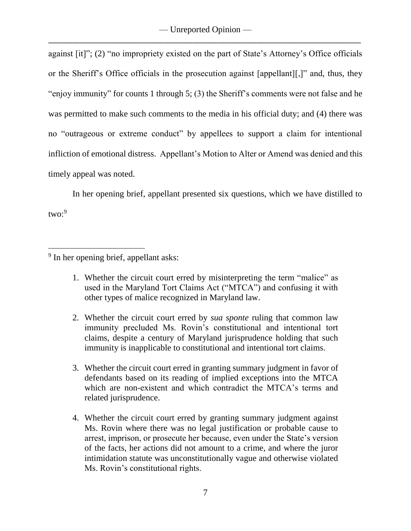against [it]"; (2) "no impropriety existed on the part of State's Attorney's Office officials or the Sheriff's Office officials in the prosecution against [appellant][,]" and, thus, they "enjoy immunity" for counts 1 through 5; (3) the Sheriff's comments were not false and he was permitted to make such comments to the media in his official duty; and (4) there was no "outrageous or extreme conduct" by appellees to support a claim for intentional infliction of emotional distress. Appellant's Motion to Alter or Amend was denied and this timely appeal was noted.

In her opening brief, appellant presented six questions, which we have distilled to two: 9

- 1. Whether the circuit court erred by misinterpreting the term "malice" as used in the Maryland Tort Claims Act ("MTCA") and confusing it with other types of malice recognized in Maryland law.
- 2. Whether the circuit court erred by *sua sponte* ruling that common law immunity precluded Ms. Rovin's constitutional and intentional tort claims, despite a century of Maryland jurisprudence holding that such immunity is inapplicable to constitutional and intentional tort claims.
- 3. Whether the circuit court erred in granting summary judgment in favor of defendants based on its reading of implied exceptions into the MTCA which are non-existent and which contradict the MTCA's terms and related jurisprudence.
- 4. Whether the circuit court erred by granting summary judgment against Ms. Rovin where there was no legal justification or probable cause to arrest, imprison, or prosecute her because, even under the State's version of the facts, her actions did not amount to a crime, and where the juror intimidation statute was unconstitutionally vague and otherwise violated Ms. Rovin's constitutional rights.

 $\overline{a}$ <sup>9</sup> In her opening brief, appellant asks: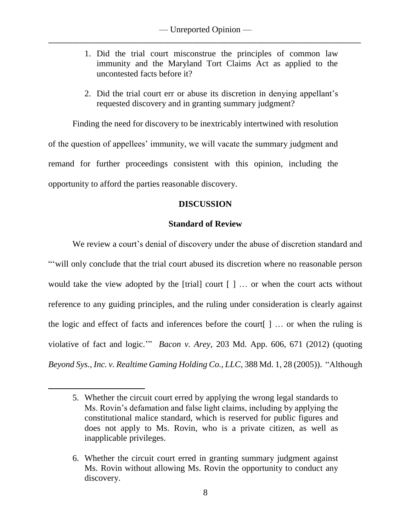- 1. Did the trial court misconstrue the principles of common law immunity and the Maryland Tort Claims Act as applied to the uncontested facts before it?
- 2. Did the trial court err or abuse its discretion in denying appellant's requested discovery and in granting summary judgment?

Finding the need for discovery to be inextricably intertwined with resolution of the question of appellees' immunity, we will vacate the summary judgment and remand for further proceedings consistent with this opinion, including the opportunity to afford the parties reasonable discovery.

# **DISCUSSION**

# **Standard of Review**

We review a court's denial of discovery under the abuse of discretion standard and ""will only conclude that the trial court abused its discretion where no reasonable person would take the view adopted by the [trial] court  $[$   $]$  ... or when the court acts without reference to any guiding principles, and the ruling under consideration is clearly against the logic and effect of facts and inferences before the court[ ] … or when the ruling is violative of fact and logic.'" *Bacon v. Arey*, 203 Md. App. 606, 671 (2012) (quoting *Beyond Sys., Inc. v. Realtime Gaming Holding Co., LLC*, 388 Md. 1, 28 (2005)). "Although

<sup>5.</sup> Whether the circuit court erred by applying the wrong legal standards to Ms. Rovin's defamation and false light claims, including by applying the constitutional malice standard, which is reserved for public figures and does not apply to Ms. Rovin, who is a private citizen, as well as inapplicable privileges.

<sup>6.</sup> Whether the circuit court erred in granting summary judgment against Ms. Rovin without allowing Ms. Rovin the opportunity to conduct any discovery.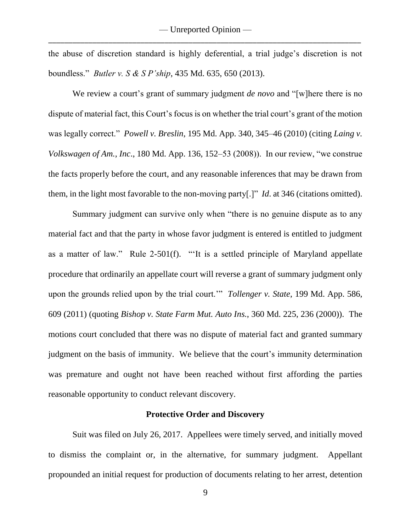the abuse of discretion standard is highly deferential, a trial judge's discretion is not boundless." *Butler v. S & S P'ship*, 435 Md. 635, 650 (2013).

We review a court's grant of summary judgment *de novo* and "[w]here there is no dispute of material fact, this Court's focus is on whether the trial court's grant of the motion was legally correct." *Powell v. Breslin*, 195 Md. App. 340, 345–46 (2010) (citing *Laing v. Volkswagen of Am., Inc*., 180 Md. App. 136, 152–53 (2008)). In our review, "we construe the facts properly before the court, and any reasonable inferences that may be drawn from them, in the light most favorable to the non-moving party[.]" *Id*. at 346 (citations omitted).

Summary judgment can survive only when "there is no genuine dispute as to any material fact and that the party in whose favor judgment is entered is entitled to judgment as a matter of law." Rule 2-501(f). "'It is a settled principle of Maryland appellate procedure that ordinarily an appellate court will reverse a grant of summary judgment only upon the grounds relied upon by the trial court.'" *Tollenger v. State*, 199 Md. App. 586, 609 (2011) (quoting *Bishop v. State Farm Mut. Auto Ins.*, 360 Md. 225, 236 (2000)). The motions court concluded that there was no dispute of material fact and granted summary judgment on the basis of immunity. We believe that the court's immunity determination was premature and ought not have been reached without first affording the parties reasonable opportunity to conduct relevant discovery.

### **Protective Order and Discovery**

Suit was filed on July 26, 2017. Appellees were timely served, and initially moved to dismiss the complaint or, in the alternative, for summary judgment. Appellant propounded an initial request for production of documents relating to her arrest, detention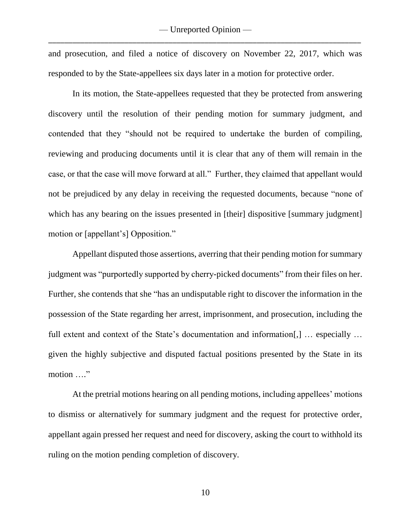and prosecution, and filed a notice of discovery on November 22, 2017, which was responded to by the State-appellees six days later in a motion for protective order.

In its motion, the State-appellees requested that they be protected from answering discovery until the resolution of their pending motion for summary judgment, and contended that they "should not be required to undertake the burden of compiling, reviewing and producing documents until it is clear that any of them will remain in the case, or that the case will move forward at all." Further, they claimed that appellant would not be prejudiced by any delay in receiving the requested documents, because "none of which has any bearing on the issues presented in [their] dispositive [summary judgment] motion or [appellant's] Opposition."

Appellant disputed those assertions, averring that their pending motion for summary judgment was "purportedly supported by cherry-picked documents" from their files on her. Further, she contends that she "has an undisputable right to discover the information in the possession of the State regarding her arrest, imprisonment, and prosecution, including the full extent and context of the State's documentation and information[,] … especially … given the highly subjective and disputed factual positions presented by the State in its motion …."

At the pretrial motions hearing on all pending motions, including appellees' motions to dismiss or alternatively for summary judgment and the request for protective order, appellant again pressed her request and need for discovery, asking the court to withhold its ruling on the motion pending completion of discovery.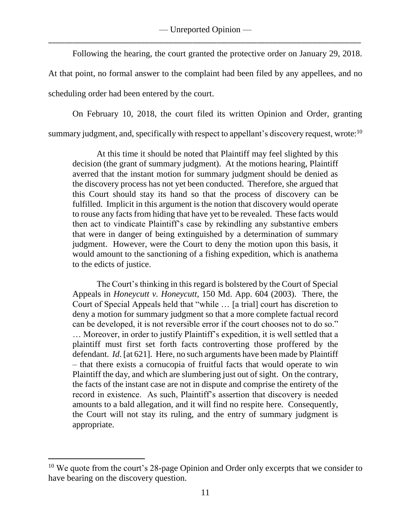— Unreported Opinion — \_\_\_\_\_\_\_\_\_\_\_\_\_\_\_\_\_\_\_\_\_\_\_\_\_\_\_\_\_\_\_\_\_\_\_\_\_\_\_\_\_\_\_\_\_\_\_\_\_\_\_\_\_\_\_\_\_\_\_\_\_\_\_\_\_\_\_\_\_\_\_\_\_\_\_\_\_\_

Following the hearing, the court granted the protective order on January 29, 2018.

At that point, no formal answer to the complaint had been filed by any appellees, and no scheduling order had been entered by the court.

On February 10, 2018, the court filed its written Opinion and Order, granting summary judgment, and, specifically with respect to appellant's discovery request, wrote: $^{10}$ 

At this time it should be noted that Plaintiff may feel slighted by this decision (the grant of summary judgment). At the motions hearing, Plaintiff averred that the instant motion for summary judgment should be denied as the discovery process has not yet been conducted. Therefore, she argued that this Court should stay its hand so that the process of discovery can be fulfilled. Implicit in this argument is the notion that discovery would operate to rouse any facts from hiding that have yet to be revealed. These facts would then act to vindicate Plaintiff's case by rekindling any substantive embers that were in danger of being extinguished by a determination of summary judgment. However, were the Court to deny the motion upon this basis, it would amount to the sanctioning of a fishing expedition, which is anathema to the edicts of justice.

The Court's thinking in this regard is bolstered by the Court of Special Appeals in *Honeycutt v. Honeycutt*, 150 Md. App. 604 (2003). There, the Court of Special Appeals held that "while … [a trial] court has discretion to deny a motion for summary judgment so that a more complete factual record can be developed, it is not reversible error if the court chooses not to do so." … Moreover, in order to justify Plaintiff's expedition, it is well settled that a plaintiff must first set forth facts controverting those proffered by the defendant. *Id*. [at 621]. Here, no such arguments have been made by Plaintiff – that there exists a cornucopia of fruitful facts that would operate to win Plaintiff the day, and which are slumbering just out of sight. On the contrary, the facts of the instant case are not in dispute and comprise the entirety of the record in existence. As such, Plaintiff's assertion that discovery is needed amounts to a bald allegation, and it will find no respite here. Consequently, the Court will not stay its ruling, and the entry of summary judgment is appropriate.

<sup>&</sup>lt;sup>10</sup> We quote from the court's 28-page Opinion and Order only excerpts that we consider to have bearing on the discovery question.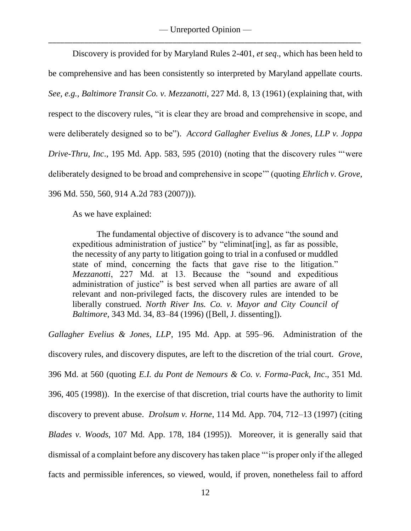Discovery is provided for by Maryland Rules 2-401, *et seq*., which has been held to be comprehensive and has been consistently so interpreted by Maryland appellate courts. *See, e.g., Baltimore Transit Co. v. Mezzanotti*, 227 Md. 8, 13 (1961) (explaining that, with respect to the discovery rules, "it is clear they are broad and comprehensive in scope, and were deliberately designed so to be"). *Accord Gallagher Evelius & Jones, LLP v. Joppa Drive-Thru, Inc*., 195 Md. App. 583, 595 (2010) (noting that the discovery rules "'were deliberately designed to be broad and comprehensive in scope'" (quoting *Ehrlich v. Grove*, 396 Md. 550, 560, 914 A.2d 783 (2007))).

As we have explained:

The fundamental objective of discovery is to advance "the sound and expeditious administration of justice" by "eliminat[ing], as far as possible, the necessity of any party to litigation going to trial in a confused or muddled state of mind, concerning the facts that gave rise to the litigation." *Mezzanotti*, 227 Md. at 13. Because the "sound and expeditious administration of justice" is best served when all parties are aware of all relevant and non-privileged facts, the discovery rules are intended to be liberally construed. *North River Ins. Co. v. Mayor and City Council of Baltimore*, 343 Md. 34, 83–84 (1996) ([Bell, J. dissenting]).

*Gallagher Evelius & Jones, LLP*, 195 Md. App. at 595–96. Administration of the discovery rules, and discovery disputes, are left to the discretion of the trial court. *Grove*, 396 Md. at 560 (quoting *E.I. du Pont de Nemours & Co. v. Forma-Pack, Inc*., 351 Md. 396, 405 (1998)). In the exercise of that discretion, trial courts have the authority to limit discovery to prevent abuse. *Drolsum v. Horne*, 114 Md. App. 704, 712–13 (1997) (citing *Blades v. Woods*, 107 Md. App. 178, 184 (1995)).Moreover, it is generally said that dismissal of a complaint before any discovery has taken place "'is proper only if the alleged facts and permissible inferences, so viewed, would, if proven, nonetheless fail to afford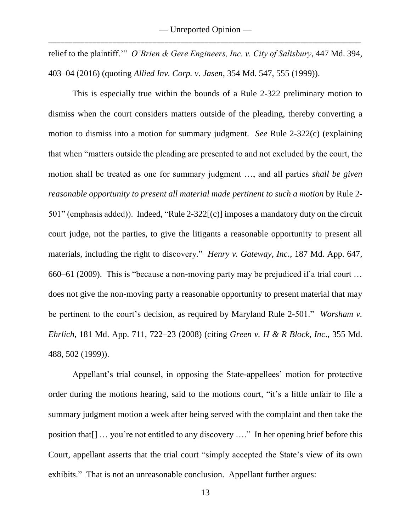relief to the plaintiff.'" *O'Brien & Gere Engineers, Inc. v. City of Salisbury*, 447 Md. 394, 403–04 (2016) (quoting *Allied Inv. Corp. v. Jasen*, 354 Md. 547, 555 (1999)).

This is especially true within the bounds of a Rule 2-322 preliminary motion to dismiss when the court considers matters outside of the pleading, thereby converting a motion to dismiss into a motion for summary judgment. *See* Rule 2-322(c) (explaining that when "matters outside the pleading are presented to and not excluded by the court, the motion shall be treated as one for summary judgment …, and all parties *shall be given reasonable opportunity to present all material made pertinent to such a motion* by Rule 2- 501" (emphasis added)). Indeed, "Rule 2-322[(c)] imposes a mandatory duty on the circuit court judge, not the parties, to give the litigants a reasonable opportunity to present all materials, including the right to discovery." *Henry v. Gateway, Inc*., 187 Md. App. 647, 660–61 (2009). This is "because a non-moving party may be prejudiced if a trial court … does not give the non-moving party a reasonable opportunity to present material that may be pertinent to the court's decision, as required by Maryland Rule 2-501." *Worsham v. Ehrlich*, 181 Md. App. 711, 722–23 (2008) (citing *Green v. H & R Block, Inc*., 355 Md. 488, 502 (1999)).

Appellant's trial counsel, in opposing the State-appellees' motion for protective order during the motions hearing, said to the motions court, "it's a little unfair to file a summary judgment motion a week after being served with the complaint and then take the position that[] … you're not entitled to any discovery …." In her opening brief before this Court, appellant asserts that the trial court "simply accepted the State's view of its own exhibits." That is not an unreasonable conclusion. Appellant further argues: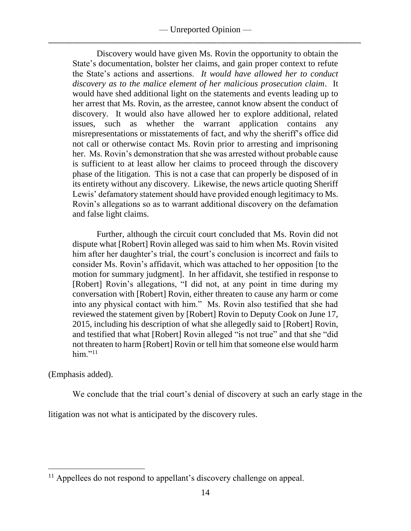Discovery would have given Ms. Rovin the opportunity to obtain the State's documentation, bolster her claims, and gain proper context to refute the State's actions and assertions. *It would have allowed her to conduct discovery as to the malice element of her malicious prosecution claim*. It would have shed additional light on the statements and events leading up to her arrest that Ms. Rovin, as the arrestee, cannot know absent the conduct of discovery. It would also have allowed her to explore additional, related issues, such as whether the warrant application contains any misrepresentations or misstatements of fact, and why the sheriff's office did not call or otherwise contact Ms. Rovin prior to arresting and imprisoning her. Ms. Rovin's demonstration that she was arrested without probable cause is sufficient to at least allow her claims to proceed through the discovery phase of the litigation. This is not a case that can properly be disposed of in its entirety without any discovery. Likewise, the news article quoting Sheriff Lewis' defamatory statement should have provided enough legitimacy to Ms. Rovin's allegations so as to warrant additional discovery on the defamation and false light claims.

Further, although the circuit court concluded that Ms. Rovin did not dispute what [Robert] Rovin alleged was said to him when Ms. Rovin visited him after her daughter's trial, the court's conclusion is incorrect and fails to consider Ms. Rovin's affidavit, which was attached to her opposition [to the motion for summary judgment]. In her affidavit, she testified in response to [Robert] Rovin's allegations, "I did not, at any point in time during my conversation with [Robert] Rovin, either threaten to cause any harm or come into any physical contact with him." Ms. Rovin also testified that she had reviewed the statement given by [Robert] Rovin to Deputy Cook on June 17, 2015, including his description of what she allegedly said to [Robert] Rovin, and testified that what [Robert] Rovin alleged "is not true" and that she "did not threaten to harm [Robert] Rovin or tell him that someone else would harm him." $^{11}$ 

(Emphasis added).

 $\overline{a}$ 

We conclude that the trial court's denial of discovery at such an early stage in the

litigation was not what is anticipated by the discovery rules.

 $11$  Appellees do not respond to appellant's discovery challenge on appeal.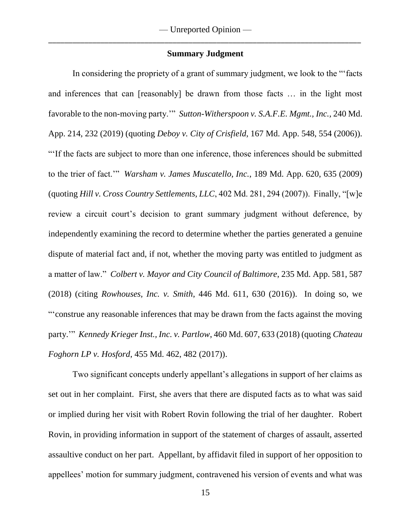#### **Summary Judgment**

In considering the propriety of a grant of summary judgment, we look to the "'facts and inferences that can [reasonably] be drawn from those facts … in the light most favorable to the non-moving party.'" *Sutton-Witherspoon v. S.A.F.E. Mgmt., Inc.,* 240 Md. App. 214, 232 (2019) (quoting *Deboy v. City of Crisfield*, 167 Md. App. 548, 554 (2006)). "'If the facts are subject to more than one inference, those inferences should be submitted to the trier of fact.'" *Warsham v. James Muscatello, Inc.*, 189 Md. App. 620, 635 (2009) (quoting *Hill v. Cross Country Settlements, LLC*, 402 Md. 281, 294 (2007)). Finally, "[w]e review a circuit court's decision to grant summary judgment without deference, by independently examining the record to determine whether the parties generated a genuine dispute of material fact and, if not, whether the moving party was entitled to judgment as a matter of law." *Colbert v. Mayor and City Council of Baltimore*, 235 Md. App. 581, 587 (2018) (citing *Rowhouses, Inc. v. Smith*, 446 Md. 611, 630 (2016)). In doing so, we "'construe any reasonable inferences that may be drawn from the facts against the moving party.'" *Kennedy Krieger Inst., Inc. v. Partlow*, 460 Md. 607, 633 (2018) (quoting *Chateau Foghorn LP v. Hosford*, 455 Md. 462, 482 (2017)).

Two significant concepts underly appellant's allegations in support of her claims as set out in her complaint. First, she avers that there are disputed facts as to what was said or implied during her visit with Robert Rovin following the trial of her daughter. Robert Rovin, in providing information in support of the statement of charges of assault, asserted assaultive conduct on her part. Appellant, by affidavit filed in support of her opposition to appellees' motion for summary judgment, contravened his version of events and what was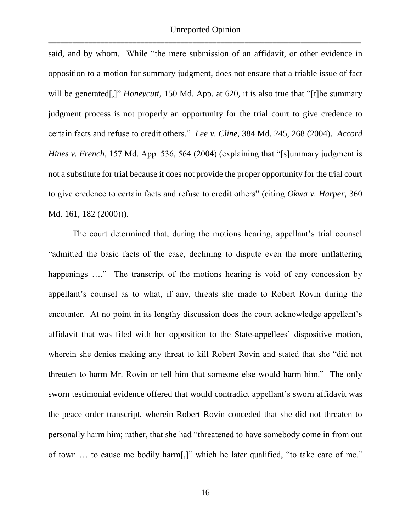said, and by whom. While "the mere submission of an affidavit, or other evidence in opposition to a motion for summary judgment, does not ensure that a triable issue of fact will be generated<sup>[1]</sup> *Honeycutt*, 150 Md. App. at 620, it is also true that "[t]he summary judgment process is not properly an opportunity for the trial court to give credence to certain facts and refuse to credit others." *Lee v. Cline*, 384 Md. 245, 268 (2004). *Accord Hines v. French*, 157 Md. App. 536, 564 (2004) (explaining that "[s]ummary judgment is not a substitute for trial because it does not provide the proper opportunity for the trial court to give credence to certain facts and refuse to credit others" (citing *Okwa v. Harper*, 360 Md. 161, 182 (2000))).

The court determined that, during the motions hearing, appellant's trial counsel "admitted the basic facts of the case, declining to dispute even the more unflattering happenings ...." The transcript of the motions hearing is void of any concession by appellant's counsel as to what, if any, threats she made to Robert Rovin during the encounter. At no point in its lengthy discussion does the court acknowledge appellant's affidavit that was filed with her opposition to the State-appellees' dispositive motion, wherein she denies making any threat to kill Robert Rovin and stated that she "did not threaten to harm Mr. Rovin or tell him that someone else would harm him." The only sworn testimonial evidence offered that would contradict appellant's sworn affidavit was the peace order transcript, wherein Robert Rovin conceded that she did not threaten to personally harm him; rather, that she had "threatened to have somebody come in from out of town … to cause me bodily harm[,]" which he later qualified, "to take care of me."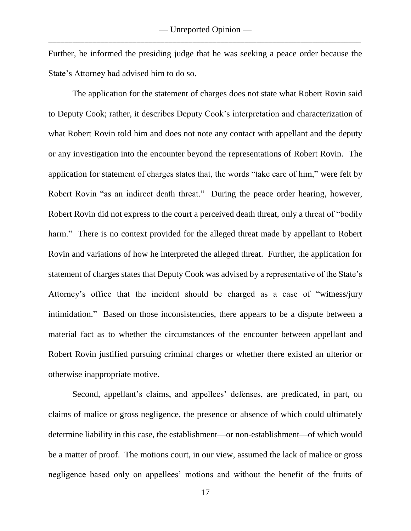Further, he informed the presiding judge that he was seeking a peace order because the State's Attorney had advised him to do so.

The application for the statement of charges does not state what Robert Rovin said to Deputy Cook; rather, it describes Deputy Cook's interpretation and characterization of what Robert Rovin told him and does not note any contact with appellant and the deputy or any investigation into the encounter beyond the representations of Robert Rovin. The application for statement of charges states that, the words "take care of him," were felt by Robert Rovin "as an indirect death threat." During the peace order hearing, however, Robert Rovin did not express to the court a perceived death threat, only a threat of "bodily harm." There is no context provided for the alleged threat made by appellant to Robert Rovin and variations of how he interpreted the alleged threat. Further, the application for statement of charges states that Deputy Cook was advised by a representative of the State's Attorney's office that the incident should be charged as a case of "witness/jury intimidation." Based on those inconsistencies, there appears to be a dispute between a material fact as to whether the circumstances of the encounter between appellant and Robert Rovin justified pursuing criminal charges or whether there existed an ulterior or otherwise inappropriate motive.

Second, appellant's claims, and appellees' defenses, are predicated, in part, on claims of malice or gross negligence, the presence or absence of which could ultimately determine liability in this case, the establishment—or non-establishment—of which would be a matter of proof. The motions court, in our view, assumed the lack of malice or gross negligence based only on appellees' motions and without the benefit of the fruits of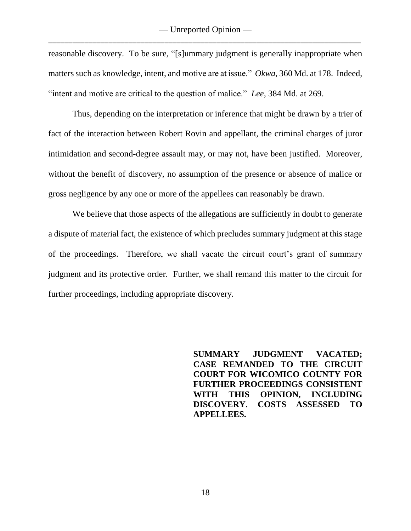reasonable discovery. To be sure, "[s]ummary judgment is generally inappropriate when matters such as knowledge, intent, and motive are at issue." *Okwa*, 360 Md. at 178. Indeed, "intent and motive are critical to the question of malice." *Lee*, 384 Md. at 269.

Thus, depending on the interpretation or inference that might be drawn by a trier of fact of the interaction between Robert Rovin and appellant, the criminal charges of juror intimidation and second-degree assault may, or may not, have been justified. Moreover, without the benefit of discovery, no assumption of the presence or absence of malice or gross negligence by any one or more of the appellees can reasonably be drawn.

We believe that those aspects of the allegations are sufficiently in doubt to generate a dispute of material fact, the existence of which precludes summary judgment at this stage of the proceedings. Therefore, we shall vacate the circuit court's grant of summary judgment and its protective order. Further, we shall remand this matter to the circuit for further proceedings, including appropriate discovery.

> **SUMMARY JUDGMENT VACATED; CASE REMANDED TO THE CIRCUIT COURT FOR WICOMICO COUNTY FOR FURTHER PROCEEDINGS CONSISTENT WITH THIS OPINION, INCLUDING DISCOVERY. COSTS ASSESSED TO APPELLEES.**